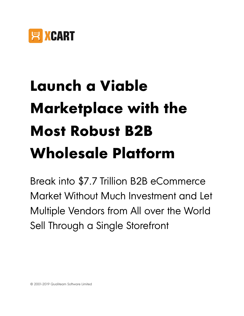

# **Launch a Viable Marketplace with the Most Robust B2B Wholesale Platform**

Break into \$7.7 Trillion B2B eCommerce Market Without Much Investment and Let Multiple Vendors from All over the World Sell Through a Single Storefront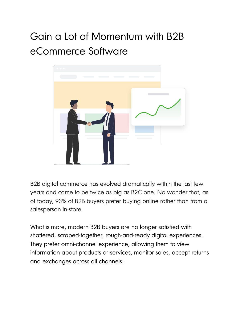## Gain a Lot of Momentum with B2B eCommerce Software



B2B digital commerce has evolved dramatically within the last few years and came to be twice as big as B2C one. No wonder that, as of today, 93% of B2B buyers prefer buying online rather than from a salesperson in-store.

What is more, modern B2B buyers are no longer satisfied with shattered, scraped-together, rough-and-ready digital experiences. They prefer omni-channel experience, allowing them to view information about products or services, monitor sales, accept returns and exchanges across all channels.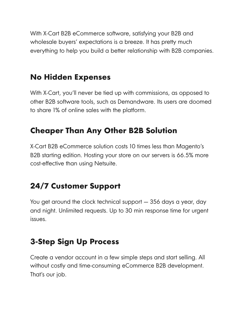With X-Cart B2B eCommerce software, satisfying your B2B and wholesale buyers' expectations is a breeze. It has pretty much everything to help you build a better relationship with B2B companies.

#### **No Hidden Expenses**

With X-Cart, you'll never be tied up with commissions, as opposed to other B2B software tools, such as Demandware. Its users are doomed to share 1% of online sales with the platform.

## **Cheaper Than Any Other B2B Solution**

X-Cart B2B eCommerce solution costs 10 times less than Magento's B2B starting edition. Hosting your store on our servers is 66.5% more cost-effective than using Netsuite.

#### **24/7 Customer Support**

You get around the clock technical support — 356 days a year, day and night. Unlimited requests. Up to 30 min response time for urgent issues.

### **3-Step Sign Up Process**

Create a vendor account in a few simple steps and start selling. All without costly and time-consuming eCommerce B2B development. That's our job.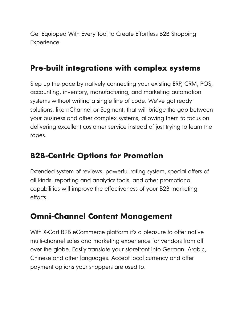Get Equipped With Every Tool to Create Effortless B2B Shopping **Experience** 

#### **Pre-built integrations with complex systems**

Step up the pace by natively connecting your existing ERP, CRM, POS, accounting, inventory, manufacturing, and marketing automation systems without writing a single line of code. We've got ready solutions, like nChannel or Segment, that will bridge the gap between your business and other complex systems, allowing them to focus on delivering excellent customer service instead of just trying to learn the ropes.

#### **B2B-Centric Options for Promotion**

Extended system of reviews, powerful rating system, special offers of all kinds, reporting and analytics tools, and other promotional capabilities will improve the effectiveness of your B2B marketing efforts.

#### **Omni-Channel Content Management**

With X-Cart B2B eCommerce platform it's a pleasure to offer native multi-channel sales and marketing experience for vendors from all over the globe. Easily translate your storefront into German, Arabic, Chinese and other languages. Accept local currency and offer payment options your shoppers are used to.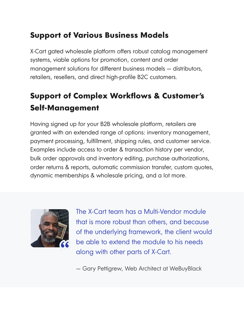#### **Support of Various Business Models**

X-Cart gated wholesale platform offers robust catalog management systems, viable options for promotion, content and order management solutions for different business models — distributors, retailers, resellers, and direct high-profile B2C customers.

## **Support of Complex Workflows & Customer's Self-Management**

Having signed up for your B2B wholesale platform, retailers are granted with an extended range of options: inventory management, payment processing, fulfillment, shipping rules, and customer service. Examples include access to order & transaction history per vendor, bulk order approvals and inventory editing, purchase authorizations, order returns & reports, automatic commission transfer, custom quotes, dynamic memberships & wholesale pricing, and a lot more.



The X-Cart team has a Multi-Vendor module that is more robust than others, and because of the underlying framework, the client would be able to extend the module to his needs along with other parts of X-Cart.

— Gary Pettigrew, Web Architect at WeBuyBlack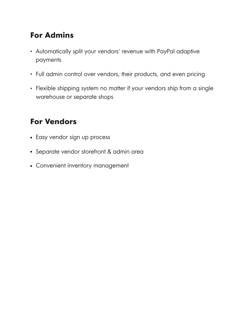#### **For Admins**

- Automatically split your vendors' revenue with PayPal adaptive payments
- Full admin control over vendors, their products, and even pricing
- Flexible shipping system no matter if your vendors ship from a single warehouse or separate shops

#### **For Vendors**

- Easy vendor sign up process
- Separate vendor storefront & admin area
- Convenient inventory management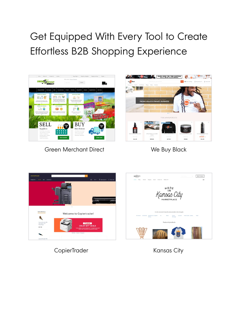# Get Equipped With Every Tool to Create Effortless B2B Shopping Experience



Green Merchant Direct **We Buy Black** 



. Signin/sign up  $\cdot$ 

KANSAS CITY





CopierTrader Kansas City